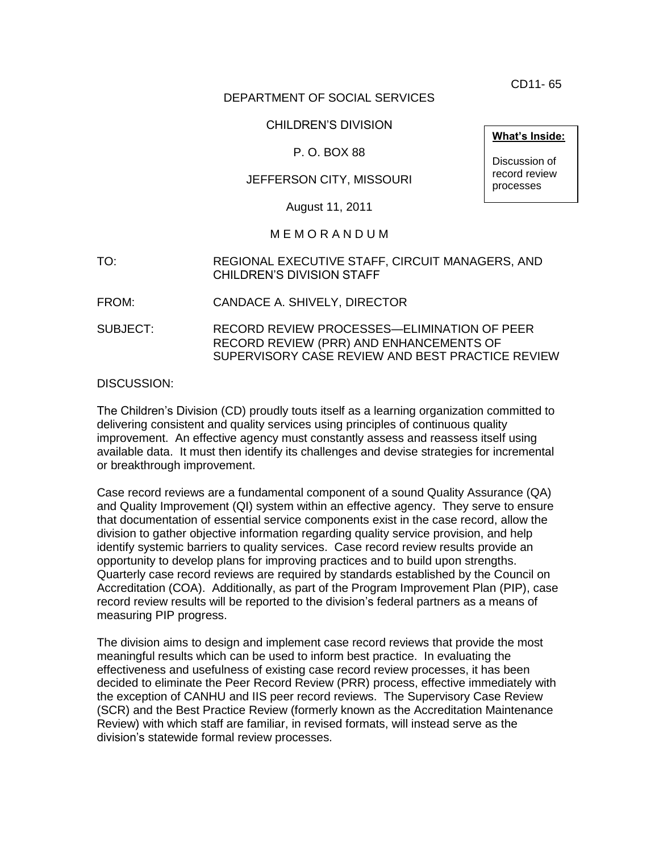CD11- 65

#### DEPARTMENT OF SOCIAL SERVICES

### CHILDREN'S DIVISION

### P. O. BOX 88

### JEFFERSON CITY, MISSOURI

August 11, 2011

#### M E M O R A N D U M

- TO: REGIONAL EXECUTIVE STAFF, CIRCUIT MANAGERS, AND CHILDREN'S DIVISION STAFF
- FROM: CANDACE A. SHIVELY, DIRECTOR
- SUBJECT: RECORD REVIEW PROCESSES—ELIMINATION OF PEER RECORD REVIEW (PRR) AND ENHANCEMENTS OF SUPERVISORY CASE REVIEW AND BEST PRACTICE REVIEW

DISCUSSION:

The Children's Division (CD) proudly touts itself as a learning organization committed to delivering consistent and quality services using principles of continuous quality improvement. An effective agency must constantly assess and reassess itself using available data. It must then identify its challenges and devise strategies for incremental or breakthrough improvement.

Case record reviews are a fundamental component of a sound Quality Assurance (QA) and Quality Improvement (QI) system within an effective agency. They serve to ensure that documentation of essential service components exist in the case record, allow the division to gather objective information regarding quality service provision, and help identify systemic barriers to quality services. Case record review results provide an opportunity to develop plans for improving practices and to build upon strengths. Quarterly case record reviews are required by standards established by the Council on Accreditation (COA). Additionally, as part of the Program Improvement Plan (PIP), case record review results will be reported to the division's federal partners as a means of measuring PIP progress.

The division aims to design and implement case record reviews that provide the most meaningful results which can be used to inform best practice. In evaluating the effectiveness and usefulness of existing case record review processes, it has been decided to eliminate the Peer Record Review (PRR) process, effective immediately with the exception of CANHU and IIS peer record reviews. The Supervisory Case Review (SCR) and the Best Practice Review (formerly known as the Accreditation Maintenance Review) with which staff are familiar, in revised formats, will instead serve as the division's statewide formal review processes.

**What's Inside:**

Discussion of record review processes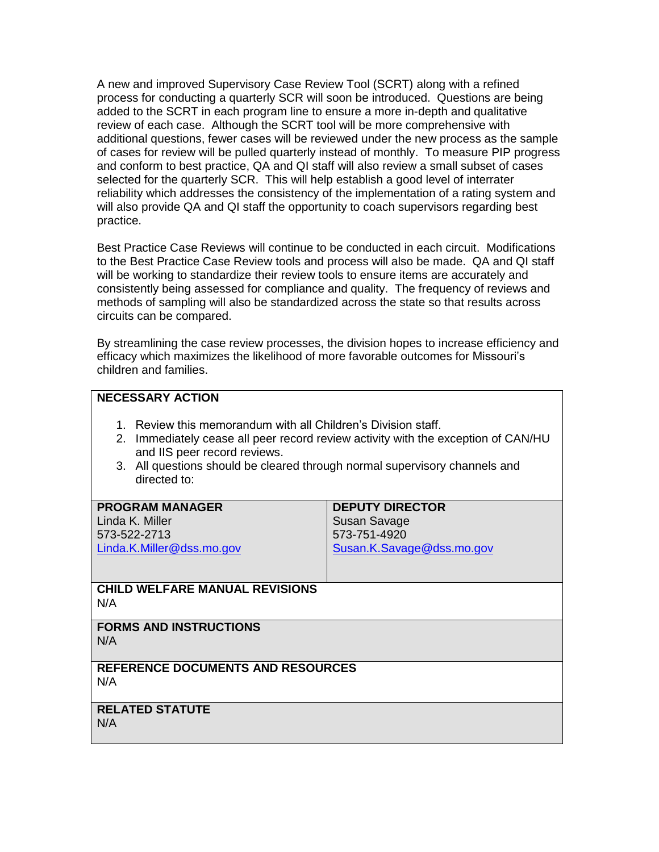A new and improved Supervisory Case Review Tool (SCRT) along with a refined process for conducting a quarterly SCR will soon be introduced. Questions are being added to the SCRT in each program line to ensure a more in-depth and qualitative review of each case. Although the SCRT tool will be more comprehensive with additional questions, fewer cases will be reviewed under the new process as the sample of cases for review will be pulled quarterly instead of monthly. To measure PIP progress and conform to best practice, QA and QI staff will also review a small subset of cases selected for the quarterly SCR. This will help establish a good level of interrater reliability which addresses the consistency of the implementation of a rating system and will also provide QA and QI staff the opportunity to coach supervisors regarding best practice.

Best Practice Case Reviews will continue to be conducted in each circuit. Modifications to the Best Practice Case Review tools and process will also be made. QA and QI staff will be working to standardize their review tools to ensure items are accurately and consistently being assessed for compliance and quality. The frequency of reviews and methods of sampling will also be standardized across the state so that results across circuits can be compared.

By streamlining the case review processes, the division hopes to increase efficiency and efficacy which maximizes the likelihood of more favorable outcomes for Missouri's children and families.

## **NECESSARY ACTION**

- 1. Review this memorandum with all Children's Division staff.
- 2. Immediately cease all peer record review activity with the exception of CAN/HU and IIS peer record reviews.
- 3. All questions should be cleared through normal supervisory channels and directed to:

| <b>PROGRAM MANAGER</b>                   | <b>DEPUTY DIRECTOR</b>    |
|------------------------------------------|---------------------------|
| Linda K. Miller                          | Susan Savage              |
| 573-522-2713                             | 573-751-4920              |
| Linda.K.Miller@dss.mo.gov                | Susan.K.Savage@dss.mo.gov |
|                                          |                           |
| <b>CHILD WELFARE MANUAL REVISIONS</b>    |                           |
| N/A                                      |                           |
| <b>FORMS AND INSTRUCTIONS</b>            |                           |
| N/A                                      |                           |
|                                          |                           |
| <b>REFERENCE DOCUMENTS AND RESOURCES</b> |                           |
| N/A                                      |                           |
|                                          |                           |
| <b>RELATED STATUTE</b>                   |                           |
| N/A                                      |                           |